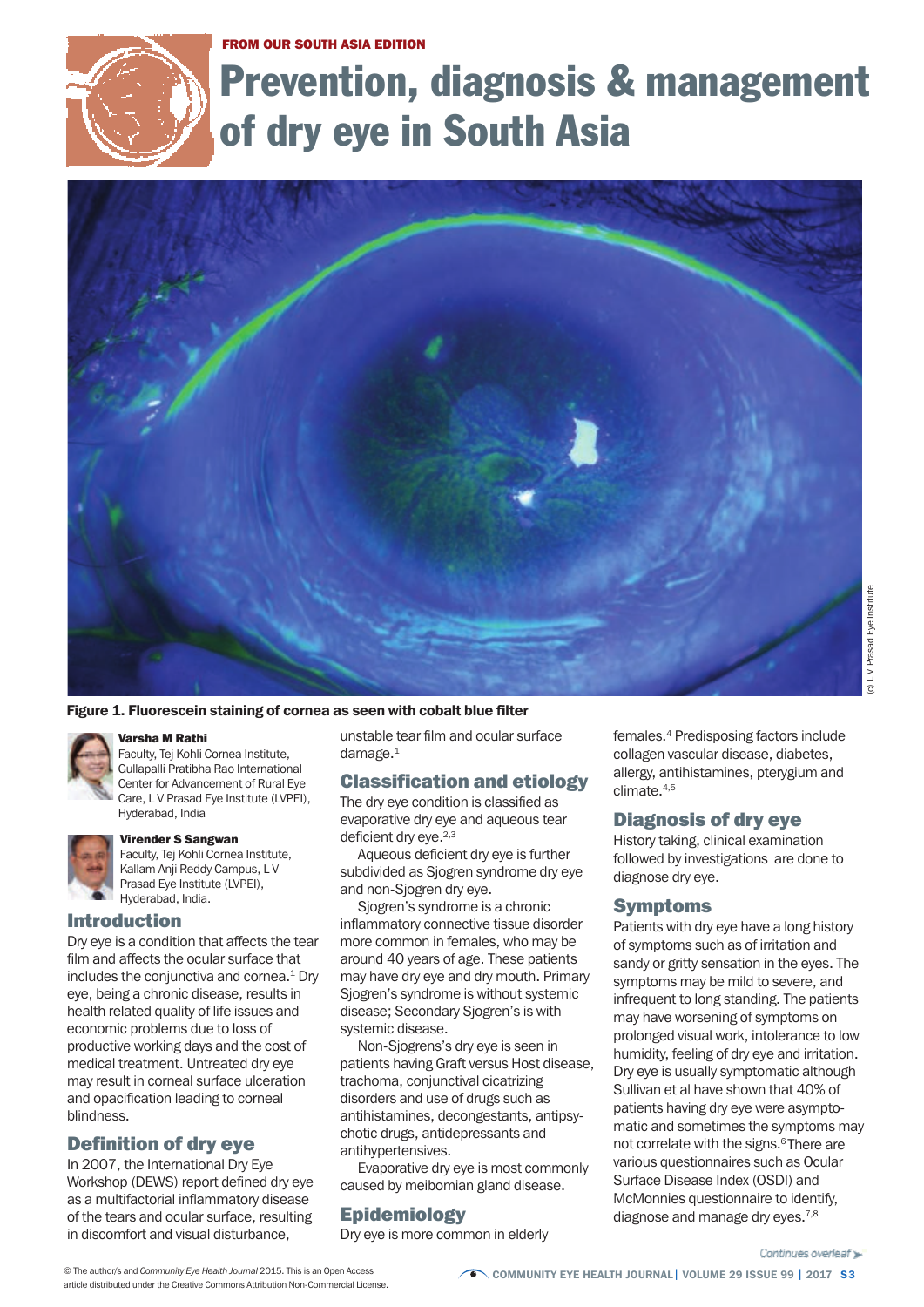#### FROM OUR SOUTH ASIA EDITION



# Prevention, diagnosis & management of dry eye in South Asia



#### Figure 1. Fluorescein staining of cornea as seen with cobalt blue filter

#### Varsha M Rathi

Faculty, Tej Kohli Cornea Institute, Gullapalli Pratibha Rao International Center for Advancement of Rural Eye Care, L V Prasad Eye Institute (LVPEI), Hyderabad, India



#### Virender S Sangwan

Faculty, Tej Kohli Cornea Institute, Kallam Anji Reddy Campus, L V Prasad Eye Institute (LVPEI), Hyderabad, India.

#### Introduction

Dry eye is a condition that affects the tear film and affects the ocular surface that includes the conjunctiva and cornea. <sup>1</sup> Dry eye, being a chronic disease, results in health related quality of life issues and economic problems due to loss of productive working days and the cost of medical treatment. Untreated dry eye may result in corneal surface ulceration and opacification leading to corneal blindness.

# Definition of dry eye

In 2007, the International Dry Eye Workshop (DEWS) report defined dry eye as a multifactorial inflammatory disease of the tears and ocular surface, resulting in discomfort and visual disturbance,

unstable tear film and ocular surface damage. $1$ 

# Classification and etiology

The dry eye condition is classified as evaporative dry eye and aqueous tear deficient dry eye.<sup>2,3</sup>

Aqueous deficient dry eye is further subdivided as Sjogren syndrome dry eye and non-Sjogren dry eye.

Sjogren's syndrome is a chronic inflammatory connective tissue disorder more common in females, who may be around 40 years of age. These patients may have dry eye and dry mouth. Primary Sjogren's syndrome is without systemic disease; Secondary Sjogren's is with systemic disease.

Non-Sjogrens's dry eye is seen in patients having Graft versus Host disease, trachoma, conjunctival cicatrizing disorders and use of drugs such as antihistamines, decongestants, antipsychotic drugs, antidepressants and antihypertensives.

Evaporative dry eye is most commonly caused by meibomian gland disease.

# **Epidemiology**

Dry eye is more common in elderly

females.4 Predisposing factors include collagen vascular disease, diabetes, allergy, antihistamines, pterygium and climate.4,5

# Diagnosis of dry eye

History taking, clinical examination followed by investigations are done to diagnose dry eye.

#### Symptoms

Patients with dry eye have a long history of symptoms such as of irritation and sandy or gritty sensation in the eyes. The symptoms may be mild to severe, and infrequent to long standing. The patients may have worsening of symptoms on prolonged visual work, intolerance to low humidity, feeling of dry eye and irritation. Dry eye is usually symptomatic although Sullivan et al have shown that 40% of patients having dry eye were asymptomatic and sometimes the symptoms may not correlate with the signs. 6 There are various questionnaires such as Ocular Surface Disease Index (OSDI) and McMonnies questionnaire to identify, diagnose and manage dry eyes.<sup>7,8</sup>

article distributed under the Creative Commons Attribution Non-Commercial License.

© The author/s and *Community Eye Health Journal* 2015. This is an Open Access Community **COMMUNITY EYE HEALTH JOURNAL** | VOLUME 29 ISSUE 99 | 2017 S3